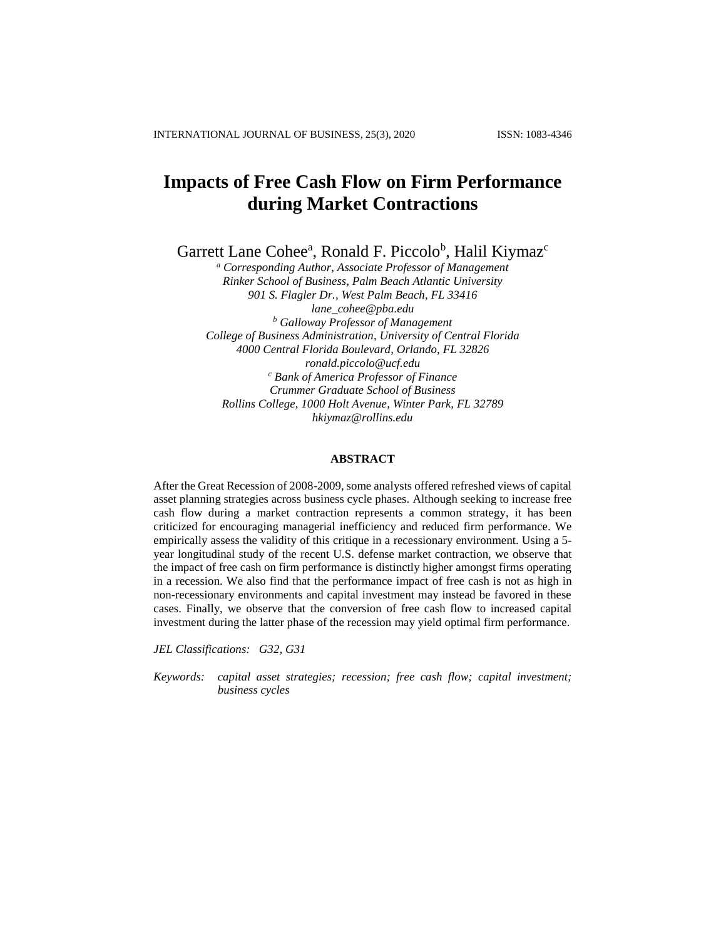# **Impacts of Free Cash Flow on Firm Performance during Market Contractions**

Garrett Lane Cohee<sup>a</sup>, Ronald F. Piccolo<sup>b</sup>, Halil Kiymaz<sup>c</sup>

*<sup>a</sup> Corresponding Author, Associate Professor of Management Rinker School of Business, Palm Beach Atlantic University 901 S. Flagler Dr., West Palm Beach, FL 33416 [lane\\_cohee@pba.edu](mailto:lane_cohee@pba.edu) <sup>b</sup> Galloway Professor of Management College of Business Administration, University of Central Florida 4000 Central Florida Boulevard, Orlando, FL 32826 ronald.piccolo@ucf.edu <sup>c</sup> Bank of America Professor of Finance Crummer Graduate School of Business Rollins College, 1000 Holt Avenue, Winter Park, FL 32789 [hkiymaz@rollins.edu](mailto:hkiymaz@rollins.edu)*

# **ABSTRACT**

After the Great Recession of 2008-2009, some analysts offered refreshed views of capital asset planning strategies across business cycle phases. Although seeking to increase free cash flow during a market contraction represents a common strategy, it has been criticized for encouraging managerial inefficiency and reduced firm performance. We empirically assess the validity of this critique in a recessionary environment. Using a 5 year longitudinal study of the recent U.S. defense market contraction, we observe that the impact of free cash on firm performance is distinctly higher amongst firms operating in a recession. We also find that the performance impact of free cash is not as high in non-recessionary environments and capital investment may instead be favored in these cases. Finally, we observe that the conversion of free cash flow to increased capital investment during the latter phase of the recession may yield optimal firm performance.

*JEL Classifications: G32, G31*

*Keywords: capital asset strategies; recession; free cash flow; capital investment; business cycles*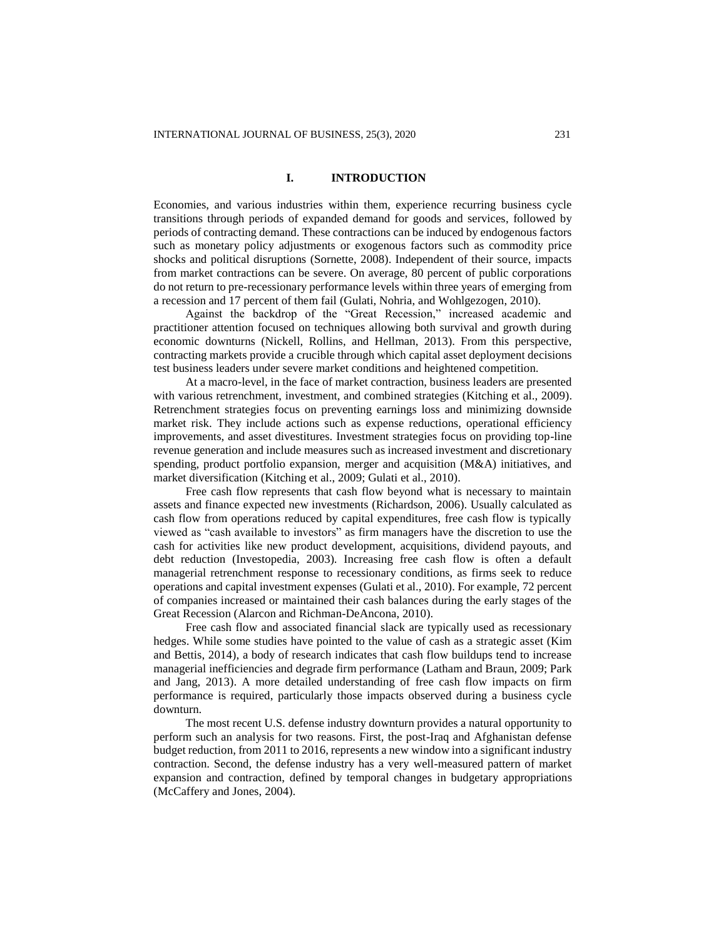#### **I. INTRODUCTION**

Economies, and various industries within them, experience recurring business cycle transitions through periods of expanded demand for goods and services, followed by periods of contracting demand. These contractions can be induced by endogenous factors such as monetary policy adjustments or exogenous factors such as commodity price shocks and political disruptions (Sornette, 2008). Independent of their source, impacts from market contractions can be severe. On average, 80 percent of public corporations do not return to pre-recessionary performance levels within three years of emerging from a recession and 17 percent of them fail (Gulati, Nohria, and Wohlgezogen, 2010).

Against the backdrop of the "Great Recession," increased academic and practitioner attention focused on techniques allowing both survival and growth during economic downturns (Nickell, Rollins, and Hellman, 2013). From this perspective, contracting markets provide a crucible through which capital asset deployment decisions test business leaders under severe market conditions and heightened competition.

At a macro-level, in the face of market contraction, business leaders are presented with various retrenchment, investment, and combined strategies (Kitching et al., 2009). Retrenchment strategies focus on preventing earnings loss and minimizing downside market risk. They include actions such as expense reductions, operational efficiency improvements, and asset divestitures. Investment strategies focus on providing top-line revenue generation and include measures such as increased investment and discretionary spending, product portfolio expansion, merger and acquisition (M&A) initiatives, and market diversification (Kitching et al., 2009; Gulati et al., 2010).

Free cash flow represents that cash flow beyond what is necessary to maintain assets and finance expected new investments (Richardson, 2006). Usually calculated as cash flow from operations reduced by capital expenditures, free cash flow is typically viewed as "cash available to investors" as firm managers have the discretion to use the cash for activities like new product development, acquisitions, dividend payouts, and debt reduction (Investopedia, 2003). Increasing free cash flow is often a default managerial retrenchment response to recessionary conditions, as firms seek to reduce operations and capital investment expenses (Gulati et al., 2010). For example, 72 percent of companies increased or maintained their cash balances during the early stages of the Great Recession (Alarcon and Richman-DeAncona, 2010).

Free cash flow and associated financial slack are typically used as recessionary hedges. While some studies have pointed to the value of cash as a strategic asset (Kim and Bettis, 2014), a body of research indicates that cash flow buildups tend to increase managerial inefficiencies and degrade firm performance (Latham and Braun, 2009; Park and Jang, 2013). A more detailed understanding of free cash flow impacts on firm performance is required, particularly those impacts observed during a business cycle downturn.

The most recent U.S. defense industry downturn provides a natural opportunity to perform such an analysis for two reasons. First, the post-Iraq and Afghanistan defense budget reduction, from 2011 to 2016, represents a new window into a significant industry contraction. Second, the defense industry has a very well-measured pattern of market expansion and contraction, defined by temporal changes in budgetary appropriations (McCaffery and Jones, 2004).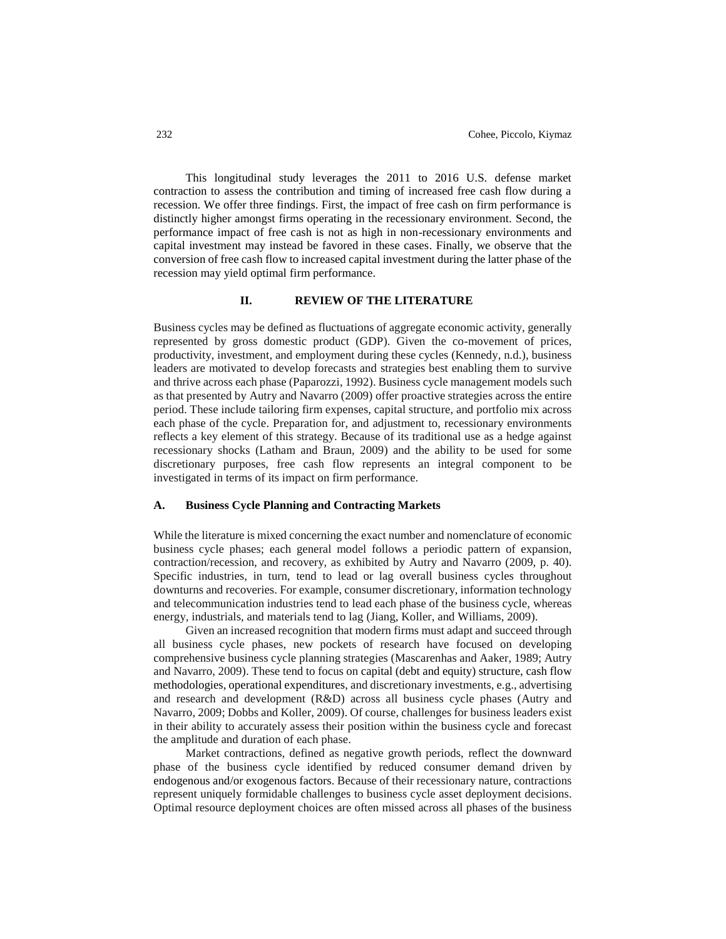This longitudinal study leverages the 2011 to 2016 U.S. defense market contraction to assess the contribution and timing of increased free cash flow during a recession. We offer three findings. First, the impact of free cash on firm performance is distinctly higher amongst firms operating in the recessionary environment. Second, the performance impact of free cash is not as high in non-recessionary environments and capital investment may instead be favored in these cases. Finally, we observe that the conversion of free cash flow to increased capital investment during the latter phase of the recession may yield optimal firm performance.

# **II. REVIEW OF THE LITERATURE**

Business cycles may be defined as fluctuations of aggregate economic activity, generally represented by gross domestic product (GDP). Given the co-movement of prices, productivity, investment, and employment during these cycles (Kennedy, n.d.), business leaders are motivated to develop forecasts and strategies best enabling them to survive and thrive across each phase (Paparozzi, 1992). Business cycle management models such as that presented by Autry and Navarro (2009) offer proactive strategies across the entire period. These include tailoring firm expenses, capital structure, and portfolio mix across each phase of the cycle. Preparation for, and adjustment to, recessionary environments reflects a key element of this strategy. Because of its traditional use as a hedge against recessionary shocks (Latham and Braun, 2009) and the ability to be used for some discretionary purposes, free cash flow represents an integral component to be investigated in terms of its impact on firm performance.

### **A. Business Cycle Planning and Contracting Markets**

While the literature is mixed concerning the exact number and nomenclature of economic business cycle phases; each general model follows a periodic pattern of expansion, contraction/recession, and recovery, as exhibited by Autry and Navarro (2009, p. 40). Specific industries, in turn, tend to lead or lag overall business cycles throughout downturns and recoveries. For example, consumer discretionary, information technology and telecommunication industries tend to lead each phase of the business cycle, whereas energy, industrials, and materials tend to lag (Jiang, Koller, and Williams, 2009).

Given an increased recognition that modern firms must adapt and succeed through all business cycle phases, new pockets of research have focused on developing comprehensive business cycle planning strategies (Mascarenhas and Aaker, 1989; Autry and Navarro, 2009). These tend to focus on capital (debt and equity) structure, cash flow methodologies, operational expenditures, and discretionary investments, e.g., advertising and research and development (R&D) across all business cycle phases (Autry and Navarro, 2009; Dobbs and Koller, 2009). Of course, challenges for business leaders exist in their ability to accurately assess their position within the business cycle and forecast the amplitude and duration of each phase.

Market contractions, defined as negative growth periods, reflect the downward phase of the business cycle identified by reduced consumer demand driven by endogenous and/or exogenous factors. Because of their recessionary nature, contractions represent uniquely formidable challenges to business cycle asset deployment decisions. Optimal resource deployment choices are often missed across all phases of the business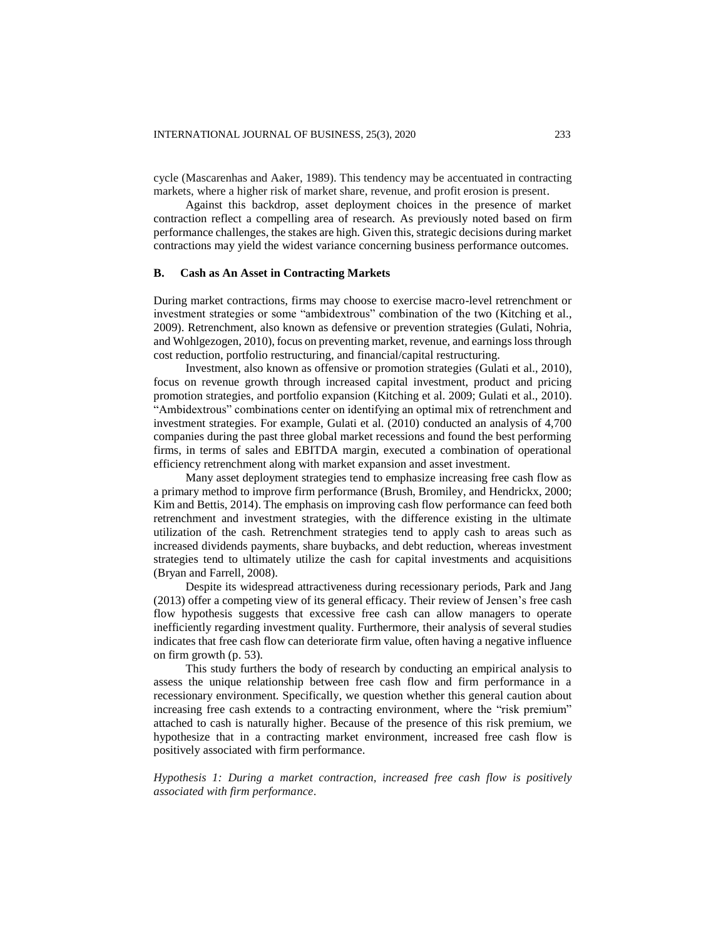cycle (Mascarenhas and Aaker, 1989). This tendency may be accentuated in contracting markets, where a higher risk of market share, revenue, and profit erosion is present.

Against this backdrop, asset deployment choices in the presence of market contraction reflect a compelling area of research. As previously noted based on firm performance challenges, the stakes are high. Given this, strategic decisions during market contractions may yield the widest variance concerning business performance outcomes.

#### **B. Cash as An Asset in Contracting Markets**

During market contractions, firms may choose to exercise macro-level retrenchment or investment strategies or some "ambidextrous" combination of the two (Kitching et al., 2009). Retrenchment, also known as defensive or prevention strategies (Gulati, Nohria, and Wohlgezogen, 2010), focus on preventing market, revenue, and earnings loss through cost reduction, portfolio restructuring, and financial/capital restructuring.

Investment, also known as offensive or promotion strategies (Gulati et al., 2010), focus on revenue growth through increased capital investment, product and pricing promotion strategies, and portfolio expansion (Kitching et al. 2009; Gulati et al., 2010). "Ambidextrous" combinations center on identifying an optimal mix of retrenchment and investment strategies. For example, Gulati et al. (2010) conducted an analysis of 4,700 companies during the past three global market recessions and found the best performing firms, in terms of sales and EBITDA margin, executed a combination of operational efficiency retrenchment along with market expansion and asset investment.

Many asset deployment strategies tend to emphasize increasing free cash flow as a primary method to improve firm performance (Brush, Bromiley, and Hendrickx, 2000; Kim and Bettis, 2014). The emphasis on improving cash flow performance can feed both retrenchment and investment strategies, with the difference existing in the ultimate utilization of the cash. Retrenchment strategies tend to apply cash to areas such as increased dividends payments, share buybacks, and debt reduction, whereas investment strategies tend to ultimately utilize the cash for capital investments and acquisitions (Bryan and Farrell, 2008).

Despite its widespread attractiveness during recessionary periods, Park and Jang (2013) offer a competing view of its general efficacy. Their review of Jensen's free cash flow hypothesis suggests that excessive free cash can allow managers to operate inefficiently regarding investment quality. Furthermore, their analysis of several studies indicates that free cash flow can deteriorate firm value, often having a negative influence on firm growth (p. 53).

This study furthers the body of research by conducting an empirical analysis to assess the unique relationship between free cash flow and firm performance in a recessionary environment. Specifically, we question whether this general caution about increasing free cash extends to a contracting environment, where the "risk premium" attached to cash is naturally higher. Because of the presence of this risk premium, we hypothesize that in a contracting market environment, increased free cash flow is positively associated with firm performance.

*Hypothesis 1: During a market contraction, increased free cash flow is positively associated with firm performance*.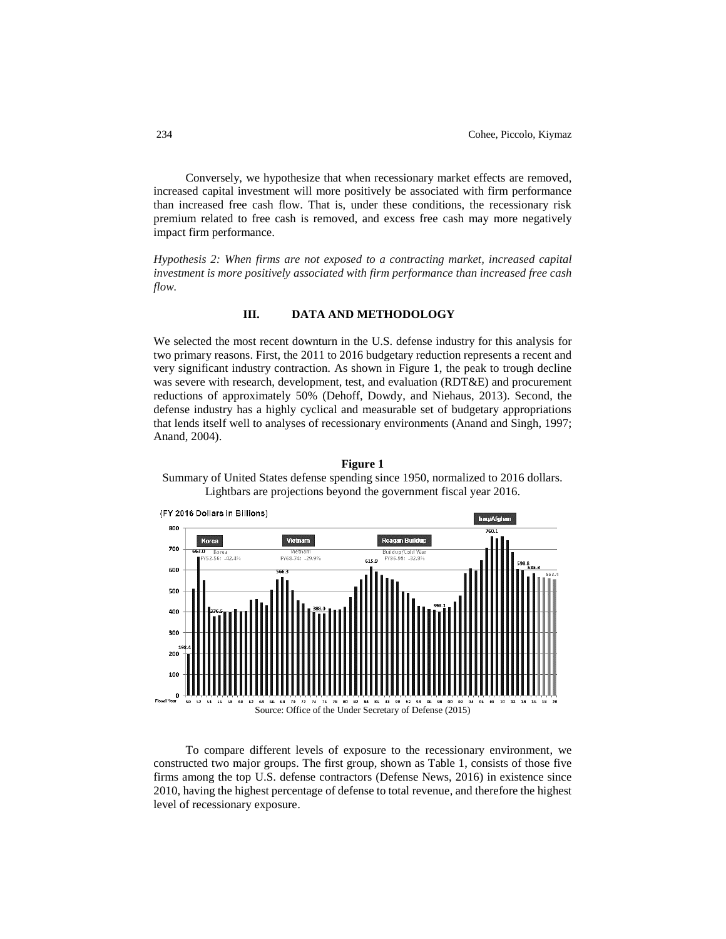Conversely, we hypothesize that when recessionary market effects are removed, increased capital investment will more positively be associated with firm performance than increased free cash flow. That is, under these conditions, the recessionary risk premium related to free cash is removed, and excess free cash may more negatively impact firm performance.

*Hypothesis 2: When firms are not exposed to a contracting market, increased capital investment is more positively associated with firm performance than increased free cash flow.*

## **III. DATA AND METHODOLOGY**

We selected the most recent downturn in the U.S. defense industry for this analysis for two primary reasons. First, the 2011 to 2016 budgetary reduction represents a recent and very significant industry contraction. As shown in Figure 1, the peak to trough decline was severe with research, development, test, and evaluation (RDT&E) and procurement reductions of approximately 50% (Dehoff, Dowdy, and Niehaus, 2013). Second, the defense industry has a highly cyclical and measurable set of budgetary appropriations that lends itself well to analyses of recessionary environments (Anand and Singh, 1997; Anand, 2004).



**Figure 1**

Summary of United States defense spending since 1950, normalized to 2016 dollars. Lightbars are projections beyond the government fiscal year 2016.

Source: Office of the Under Secretary of Defense (2015)

To compare different levels of exposure to the recessionary environment, we constructed two major groups. The first group, shown as Table 1, consists of those five firms among the top U.S. defense contractors (Defense News, 2016) in existence since 2010, having the highest percentage of defense to total revenue, and therefore the highest level of recessionary exposure.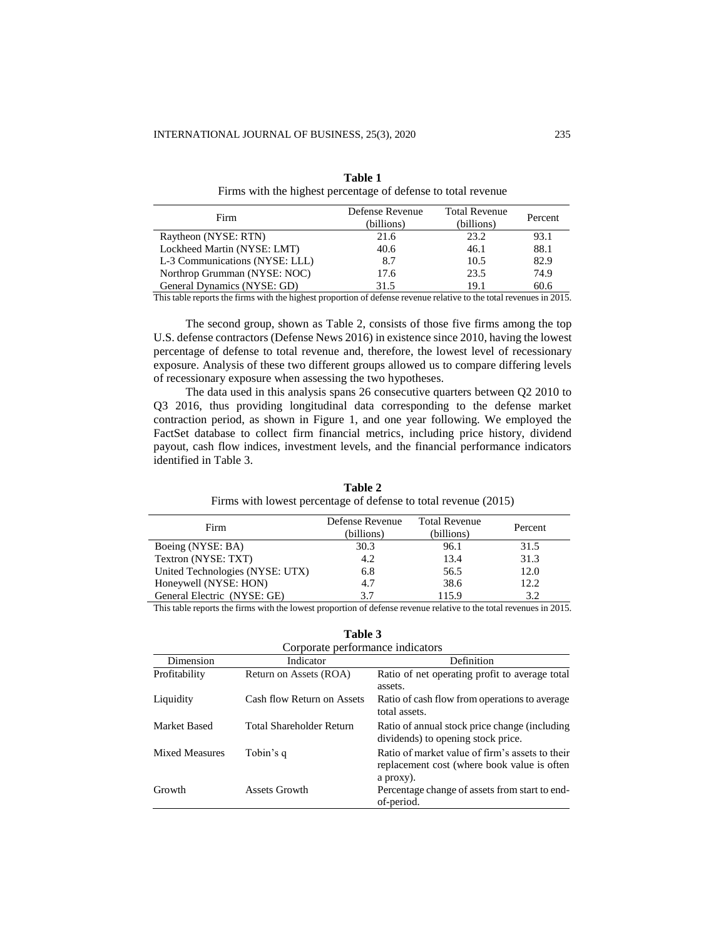| Firm                           | Defense Revenue<br>(billions) | <b>Total Revenue</b><br>(billions) | Percent |
|--------------------------------|-------------------------------|------------------------------------|---------|
| Raytheon (NYSE: RTN)           | 21.6                          | 23.2                               | 93.1    |
| Lockheed Martin (NYSE: LMT)    | 40.6                          | 46.1                               | 88.1    |
| L-3 Communications (NYSE: LLL) | 8.7                           | 10.5                               | 82.9    |
| Northrop Grumman (NYSE: NOC)   | 17.6                          | 23.5                               | 74.9    |
| General Dynamics (NYSE: GD)    | 31.5                          | 19.1                               | 60.6    |

**Table 1** Firms with the highest percentage of defense to total revenue

This table reports the firms with the highest proportion of defense revenue relative to the total revenues in 2015.

The second group, shown as Table 2, consists of those five firms among the top U.S. defense contractors (Defense News 2016) in existence since 2010, having the lowest percentage of defense to total revenue and, therefore, the lowest level of recessionary exposure. Analysis of these two different groups allowed us to compare differing levels of recessionary exposure when assessing the two hypotheses.

The data used in this analysis spans 26 consecutive quarters between Q2 2010 to Q3 2016, thus providing longitudinal data corresponding to the defense market contraction period, as shown in Figure 1, and one year following. We employed the FactSet database to collect firm financial metrics, including price history, dividend payout, cash flow indices, investment levels, and the financial performance indicators identified in Table 3.

| Firm                            | Defense Revenue<br>(billions) | <b>Total Revenue</b><br>(billions) | Percent |
|---------------------------------|-------------------------------|------------------------------------|---------|
| Boeing (NYSE: BA)               | 30.3                          | 96.1                               | 31.5    |
| Textron (NYSE: TXT)             | 4.2                           | 13.4                               | 31.3    |
| United Technologies (NYSE: UTX) | 6.8                           | 56.5                               | 12.0    |
| Honeywell (NYSE: HON)           | 4.7                           | 38.6                               | 12.2    |
| General Electric (NYSE: GE)     | 3.7                           | 115.9                              | 3.2     |

**Table 2** Firms with lowest percentage of defense to total revenue (2015)

This table reports the firms with the lowest proportion of defense revenue relative to the total revenues in 2015.

| וחו |  |
|-----|--|
|-----|--|

| Corporate performance indicators |                            |                                                                                                             |  |  |  |  |  |  |
|----------------------------------|----------------------------|-------------------------------------------------------------------------------------------------------------|--|--|--|--|--|--|
| Dimension                        | Indicator                  | Definition                                                                                                  |  |  |  |  |  |  |
| Profitability                    | Return on Assets (ROA)     | Ratio of net operating profit to average total<br>assets.                                                   |  |  |  |  |  |  |
| Liquidity                        | Cash flow Return on Assets | Ratio of cash flow from operations to average<br>total assets.                                              |  |  |  |  |  |  |
| Market Based                     | Total Shareholder Return   | Ratio of annual stock price change (including<br>dividends) to opening stock price.                         |  |  |  |  |  |  |
| <b>Mixed Measures</b>            | Tobin's q                  | Ratio of market value of firm's assets to their<br>replacement cost (where book value is often<br>a proxy). |  |  |  |  |  |  |
| Growth                           | Assets Growth              | Percentage change of assets from start to end-<br>of-period.                                                |  |  |  |  |  |  |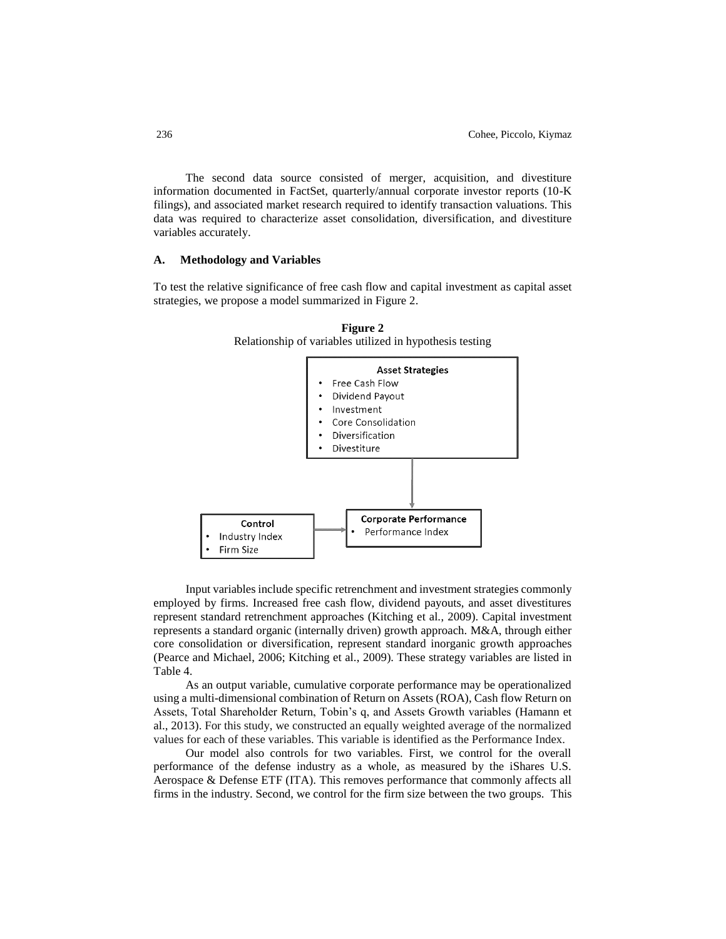The second data source consisted of merger, acquisition, and divestiture information documented in FactSet, quarterly/annual corporate investor reports (10-K filings), and associated market research required to identify transaction valuations. This data was required to characterize asset consolidation, diversification, and divestiture variables accurately.

# **A. Methodology and Variables**

To test the relative significance of free cash flow and capital investment as capital asset strategies, we propose a model summarized in Figure 2.



**Figure 2** Relationship of variables utilized in hypothesis testing

Input variables include specific retrenchment and investment strategies commonly employed by firms. Increased free cash flow, dividend payouts, and asset divestitures represent standard retrenchment approaches (Kitching et al., 2009). Capital investment represents a standard organic (internally driven) growth approach. M&A, through either core consolidation or diversification, represent standard inorganic growth approaches (Pearce and Michael, 2006; Kitching et al., 2009). These strategy variables are listed in Table 4.

As an output variable, cumulative corporate performance may be operationalized using a multi-dimensional combination of Return on Assets (ROA), Cash flow Return on Assets, Total Shareholder Return, Tobin's q, and Assets Growth variables (Hamann et al., 2013). For this study, we constructed an equally weighted average of the normalized values for each of these variables. This variable is identified as the Performance Index.

Our model also controls for two variables. First, we control for the overall performance of the defense industry as a whole, as measured by the iShares U.S. Aerospace & Defense ETF (ITA). This removes performance that commonly affects all firms in the industry. Second, we control for the firm size between the two groups. This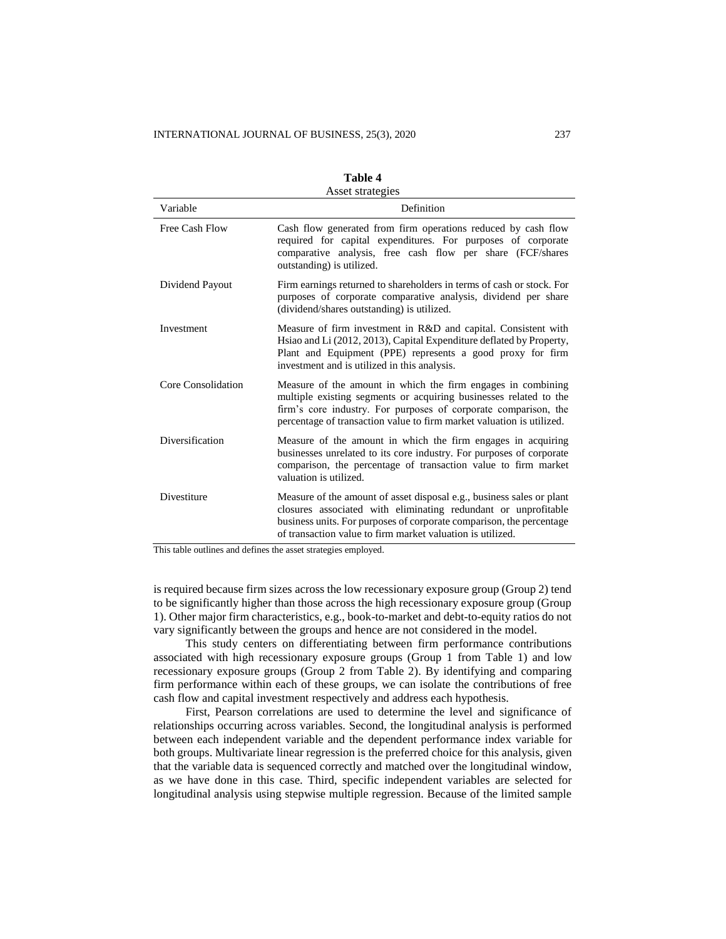| Asset strategies   |                                                                                                                                                                                                                                                                               |  |  |  |  |  |
|--------------------|-------------------------------------------------------------------------------------------------------------------------------------------------------------------------------------------------------------------------------------------------------------------------------|--|--|--|--|--|
| Variable           | Definition                                                                                                                                                                                                                                                                    |  |  |  |  |  |
| Free Cash Flow     | Cash flow generated from firm operations reduced by cash flow<br>required for capital expenditures. For purposes of corporate<br>comparative analysis, free cash flow per share (FCF/shares<br>outstanding) is utilized.                                                      |  |  |  |  |  |
| Dividend Payout    | Firm earnings returned to shareholders in terms of cash or stock. For<br>purposes of corporate comparative analysis, dividend per share<br>(dividend/shares outstanding) is utilized.                                                                                         |  |  |  |  |  |
| Investment         | Measure of firm investment in R&D and capital. Consistent with<br>Hsiao and Li (2012, 2013), Capital Expenditure deflated by Property,<br>Plant and Equipment (PPE) represents a good proxy for firm<br>investment and is utilized in this analysis.                          |  |  |  |  |  |
| Core Consolidation | Measure of the amount in which the firm engages in combining<br>multiple existing segments or acquiring businesses related to the<br>firm's core industry. For purposes of corporate comparison, the<br>percentage of transaction value to firm market valuation is utilized. |  |  |  |  |  |
| Diversification    | Measure of the amount in which the firm engages in acquiring<br>businesses unrelated to its core industry. For purposes of corporate<br>comparison, the percentage of transaction value to firm market<br>valuation is utilized.                                              |  |  |  |  |  |
| Divestiture        | Measure of the amount of asset disposal e.g., business sales or plant<br>closures associated with eliminating redundant or unprofitable<br>business units. For purposes of corporate comparison, the percentage<br>of transaction value to firm market valuation is utilized. |  |  |  |  |  |

| 'able |
|-------|
|-------|

This table outlines and defines the asset strategies employed.

is required because firm sizes across the low recessionary exposure group (Group 2) tend to be significantly higher than those across the high recessionary exposure group (Group 1). Other major firm characteristics, e.g., book-to-market and debt-to-equity ratios do not vary significantly between the groups and hence are not considered in the model.

This study centers on differentiating between firm performance contributions associated with high recessionary exposure groups (Group 1 from Table 1) and low recessionary exposure groups (Group 2 from Table 2). By identifying and comparing firm performance within each of these groups, we can isolate the contributions of free cash flow and capital investment respectively and address each hypothesis.

First, Pearson correlations are used to determine the level and significance of relationships occurring across variables. Second, the longitudinal analysis is performed between each independent variable and the dependent performance index variable for both groups. Multivariate linear regression is the preferred choice for this analysis, given that the variable data is sequenced correctly and matched over the longitudinal window, as we have done in this case. Third, specific independent variables are selected for longitudinal analysis using stepwise multiple regression. Because of the limited sample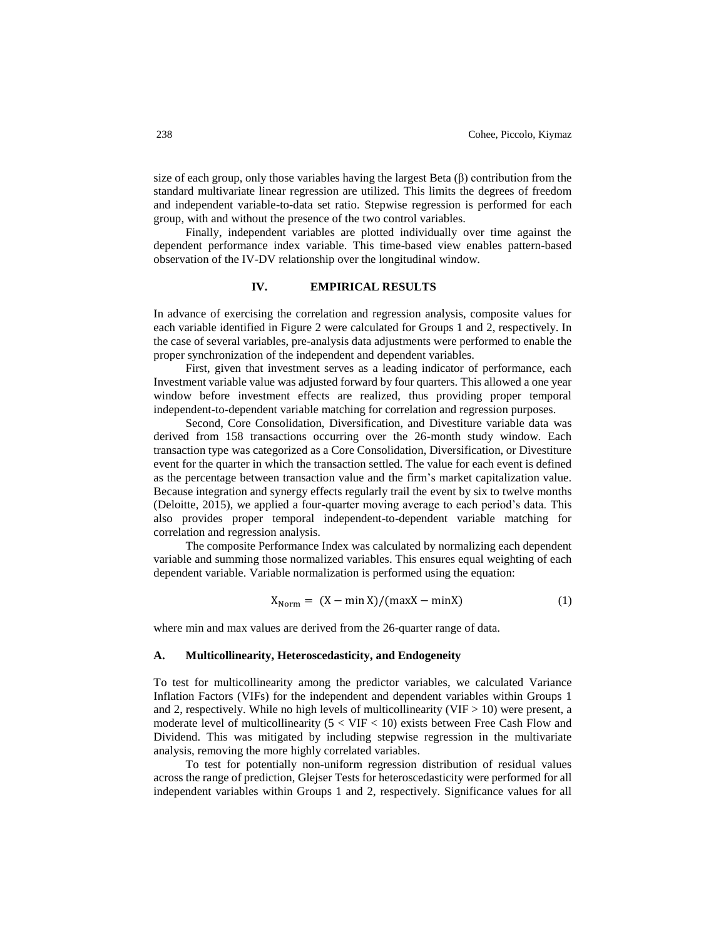size of each group, only those variables having the largest Beta  $(\beta)$  contribution from the standard multivariate linear regression are utilized. This limits the degrees of freedom and independent variable-to-data set ratio. Stepwise regression is performed for each group, with and without the presence of the two control variables.

Finally, independent variables are plotted individually over time against the dependent performance index variable. This time-based view enables pattern-based observation of the IV-DV relationship over the longitudinal window.

# **IV. EMPIRICAL RESULTS**

In advance of exercising the correlation and regression analysis, composite values for each variable identified in Figure 2 were calculated for Groups 1 and 2, respectively. In the case of several variables, pre-analysis data adjustments were performed to enable the proper synchronization of the independent and dependent variables.

First, given that investment serves as a leading indicator of performance, each Investment variable value was adjusted forward by four quarters. This allowed a one year window before investment effects are realized, thus providing proper temporal independent-to-dependent variable matching for correlation and regression purposes.

Second, Core Consolidation, Diversification, and Divestiture variable data was derived from 158 transactions occurring over the 26-month study window. Each transaction type was categorized as a Core Consolidation, Diversification, or Divestiture event for the quarter in which the transaction settled. The value for each event is defined as the percentage between transaction value and the firm's market capitalization value. Because integration and synergy effects regularly trail the event by six to twelve months (Deloitte, 2015), we applied a four-quarter moving average to each period's data. This also provides proper temporal independent-to-dependent variable matching for correlation and regression analysis.

The composite Performance Index was calculated by normalizing each dependent variable and summing those normalized variables. This ensures equal weighting of each dependent variable. Variable normalization is performed using the equation:

$$
X_{Norm} = (X - min X)/(max X - min X)
$$
 (1)

where min and max values are derived from the 26-quarter range of data.

#### **A. Multicollinearity, Heteroscedasticity, and Endogeneity**

To test for multicollinearity among the predictor variables, we calculated Variance Inflation Factors (VIFs) for the independent and dependent variables within Groups 1 and 2, respectively. While no high levels of multicollinearity (VIF  $> 10$ ) were present, a moderate level of multicollinearity  $(5 < VIF < 10)$  exists between Free Cash Flow and Dividend. This was mitigated by including stepwise regression in the multivariate analysis, removing the more highly correlated variables.

To test for potentially non-uniform regression distribution of residual values across the range of prediction, Glejser Tests for heteroscedasticity were performed for all independent variables within Groups 1 and 2, respectively. Significance values for all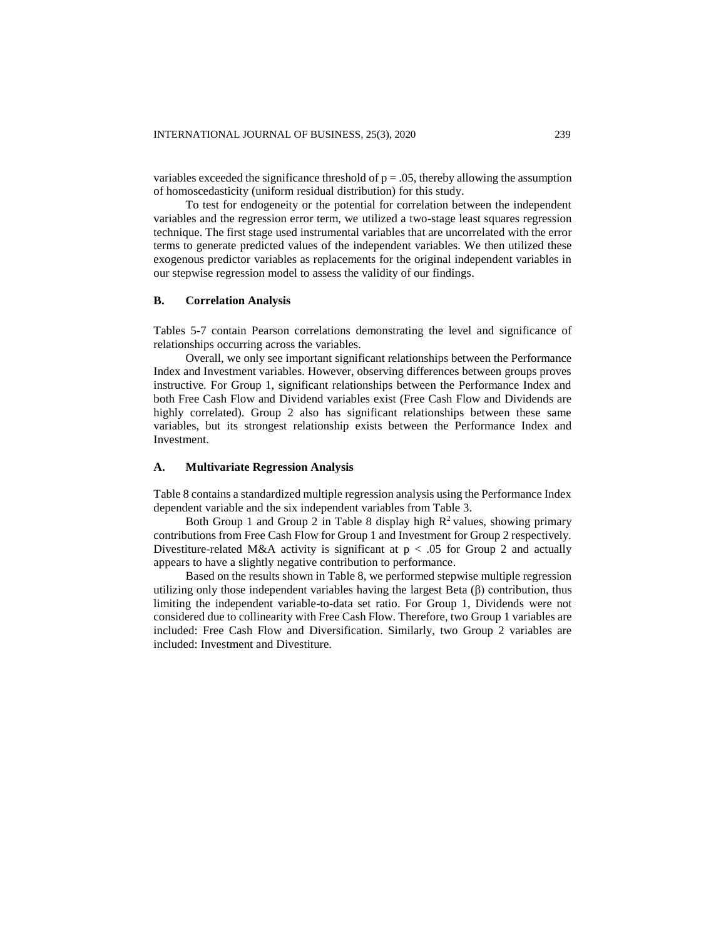variables exceeded the significance threshold of  $p = 0.05$ , thereby allowing the assumption of homoscedasticity (uniform residual distribution) for this study.

To test for endogeneity or the potential for correlation between the independent variables and the regression error term, we utilized a two-stage least squares regression technique. The first stage used instrumental variables that are uncorrelated with the error terms to generate predicted values of the independent variables. We then utilized these exogenous predictor variables as replacements for the original independent variables in our stepwise regression model to assess the validity of our findings.

# **B. Correlation Analysis**

Tables 5-7 contain Pearson correlations demonstrating the level and significance of relationships occurring across the variables.

Overall, we only see important significant relationships between the Performance Index and Investment variables. However, observing differences between groups proves instructive. For Group 1, significant relationships between the Performance Index and both Free Cash Flow and Dividend variables exist (Free Cash Flow and Dividends are highly correlated). Group 2 also has significant relationships between these same variables, but its strongest relationship exists between the Performance Index and Investment.

#### **A. Multivariate Regression Analysis**

Table 8 contains a standardized multiple regression analysis using the Performance Index dependent variable and the six independent variables from Table 3.

Both Group 1 and Group 2 in Table 8 display high  $\mathbb{R}^2$  values, showing primary contributions from Free Cash Flow for Group 1 and Investment for Group 2 respectively. Divestiture-related M&A activity is significant at  $p < .05$  for Group 2 and actually appears to have a slightly negative contribution to performance.

Based on the results shown in Table 8, we performed stepwise multiple regression utilizing only those independent variables having the largest Beta (β) contribution, thus limiting the independent variable-to-data set ratio. For Group 1, Dividends were not considered due to collinearity with Free Cash Flow. Therefore, two Group 1 variables are included: Free Cash Flow and Diversification. Similarly, two Group 2 variables are included: Investment and Divestiture.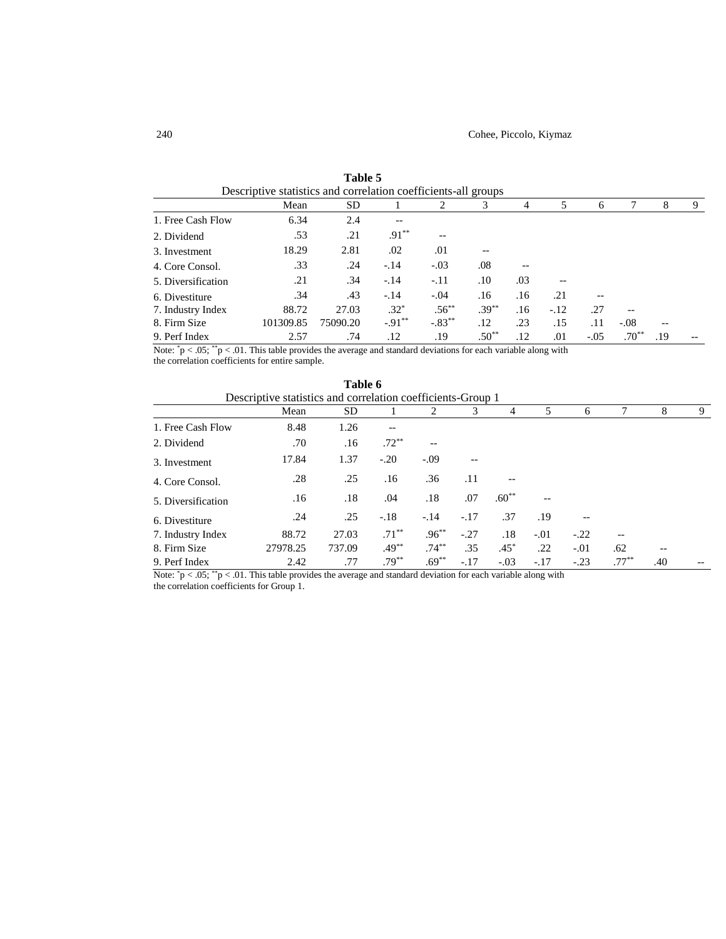|                    | Mean      | SD.      |                   | 2         | 3        | 4   | 5      | 6      |            | 8   | 9 |
|--------------------|-----------|----------|-------------------|-----------|----------|-----|--------|--------|------------|-----|---|
| 1. Free Cash Flow  | 6.34      | 2.4      | $\qquad \qquad -$ |           |          |     |        |        |            |     |   |
| 2. Dividend        | .53       | .21      | $.91***$          | --        |          |     |        |        |            |     |   |
| 3. Investment      | 18.29     | 2.81     | .02               | .01       |          |     |        |        |            |     |   |
| 4. Core Consol.    | .33       | .24      | $-.14$            | $-.03$    | .08      | --  |        |        |            |     |   |
| 5. Diversification | .21       | .34      | $-.14$            | $-.11$    | .10      | .03 |        |        |            |     |   |
| 6. Divestiture     | .34       | .43      | $-.14$            | $-.04$    | .16      | .16 | .21    | --     |            |     |   |
| 7. Industry Index  | 88.72     | 27.03    | $.32*$            | $.56***$  | $.39***$ | .16 | $-.12$ | .27    | $-$        |     |   |
| 8. Firm Size       | 101309.85 | 75090.20 | $-0.91***$        | $-.83***$ | .12      | .23 | .15    | .11    | $-.08$     |     |   |
| 9. Perf Index      | 2.57      | .74      | .12               | .19       | $.50**$  | .12 | .01    | $-.05$ | $.70^{**}$ | .19 |   |

**Table 5** Descriptive statistics and correlation coefficients-all groups

Note:  $\degree$ p < .05;  $\degree$ p < .01. This table provides the average and standard deviations for each variable along with the correlation coefficients for entire sample.

|                    |                                                             | Table 6 |          |          |        |         |        |                   |          |     |       |
|--------------------|-------------------------------------------------------------|---------|----------|----------|--------|---------|--------|-------------------|----------|-----|-------|
|                    | Descriptive statistics and correlation coefficients-Group 1 |         |          |          |        |         |        |                   |          |     |       |
|                    | Mean                                                        | SD      |          |          | 3      | 4       | 5      | 6                 |          | 8   | 9     |
| 1. Free Cash Flow  | 8.48                                                        | 1.26    | $- -$    |          |        |         |        |                   |          |     |       |
| 2. Dividend        | .70                                                         | .16     | $.72***$ | --       |        |         |        |                   |          |     |       |
| 3. Investment      | 17.84                                                       | 1.37    | $-.20$   | $-.09$   |        |         |        |                   |          |     |       |
| 4. Core Consol.    | .28                                                         | .25     | .16      | .36      | .11    | $- -$   |        |                   |          |     |       |
| 5. Diversification | .16                                                         | .18     | .04      | .18      | .07    | $.60**$ |        |                   |          |     |       |
| 6. Divestiture     | .24                                                         | .25     | $-.18$   | $-.14$   | $-.17$ | .37     | .19    | $\qquad \qquad -$ |          |     |       |
| 7. Industry Index  | 88.72                                                       | 27.03   | $.71***$ | $.96***$ | $-.27$ | .18     | $-.01$ | $-.22$            |          |     |       |
| 8. Firm Size       | 27978.25                                                    | 737.09  | $.49***$ | $.74***$ | .35    | $.45*$  | .22    | $-.01$            | .62      | $-$ |       |
| 9. Perf Index      | 2.42                                                        | .77     | $.79***$ | $.69***$ | $-.17$ | $-.03$  | $-.17$ | $-.23$            | $.77***$ | .40 | $- -$ |

Note:  $\degree p < .05$ ;  $\degree p < .01$ . This table provides the average and standard deviation for each variable along with the correlation coefficients for Group 1.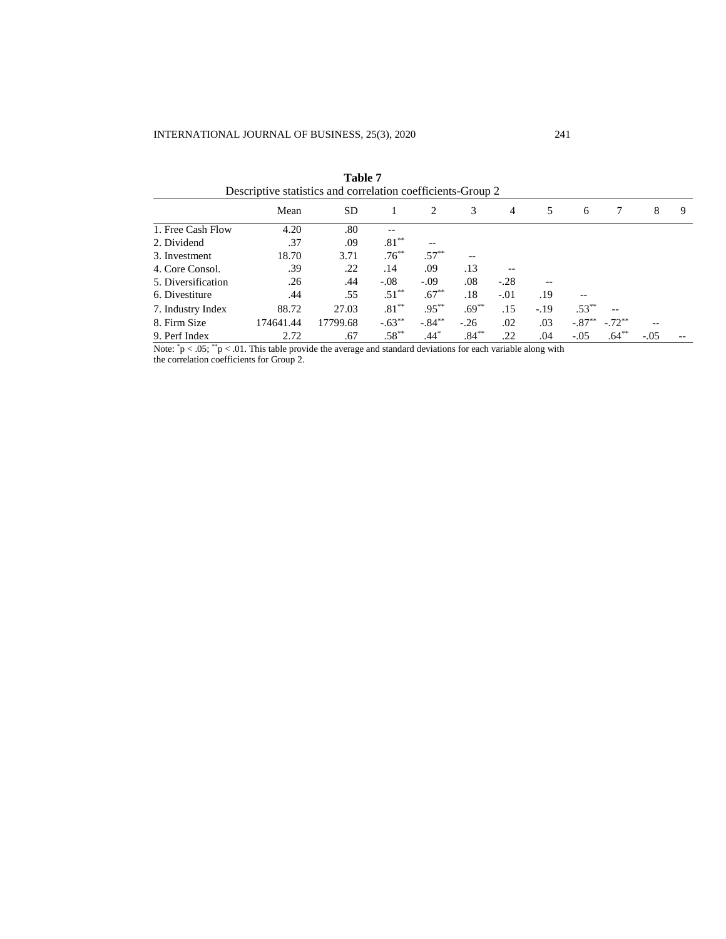|                                         | Descriptive statistics and correlation coefficients-Group 2 |          |           |           |          |        |        |           |          |        |   |
|-----------------------------------------|-------------------------------------------------------------|----------|-----------|-----------|----------|--------|--------|-----------|----------|--------|---|
|                                         | Mean                                                        | SD.      |           | 2         | 3        | 4      | 5      | 6         | 7        | 8      | 9 |
| 1. Free Cash Flow                       | 4.20                                                        | .80      | --        |           |          |        |        |           |          |        |   |
| 2. Dividend                             | .37                                                         | .09      | $.81***$  |           |          |        |        |           |          |        |   |
| 3. Investment                           | 18.70                                                       | 3.71     | $.76***$  | $.57***$  | --       |        |        |           |          |        |   |
| 4. Core Consol.                         | .39                                                         | .22      | .14       | .09       | .13      |        |        |           |          |        |   |
| 5. Diversification                      | .26                                                         | .44      | $-.08$    | $-.09$    | .08      | $-.28$ |        |           |          |        |   |
| 6. Divestiture                          | .44                                                         | .55      | $.51***$  | $.67***$  | .18      | $-.01$ | .19    |           |          |        |   |
| 7. Industry Index                       | 88.72                                                       | 27.03    | $.81***$  | $.95***$  | $.69***$ | .15    | $-.19$ | $.53***$  | --       |        |   |
| 8. Firm Size                            | 174641.44                                                   | 17799.68 | $-.63***$ | $-.84***$ | $-.26$   | .02    | .03    | $-.87***$ | $-.72**$ |        |   |
| 9. Perf Index<br><b>College College</b> | 2.72                                                        | .67      | $.58***$  | $.44*$    | $.84***$ | .22    | .04    | $-.05$    | $.64***$ | $-.05$ |   |

**Table 7**

Note:  $\degree p < .05$ ;  $\degree p < .01$ . This table provide the average and standard deviations for each variable along with

the correlation coefficients for Group 2.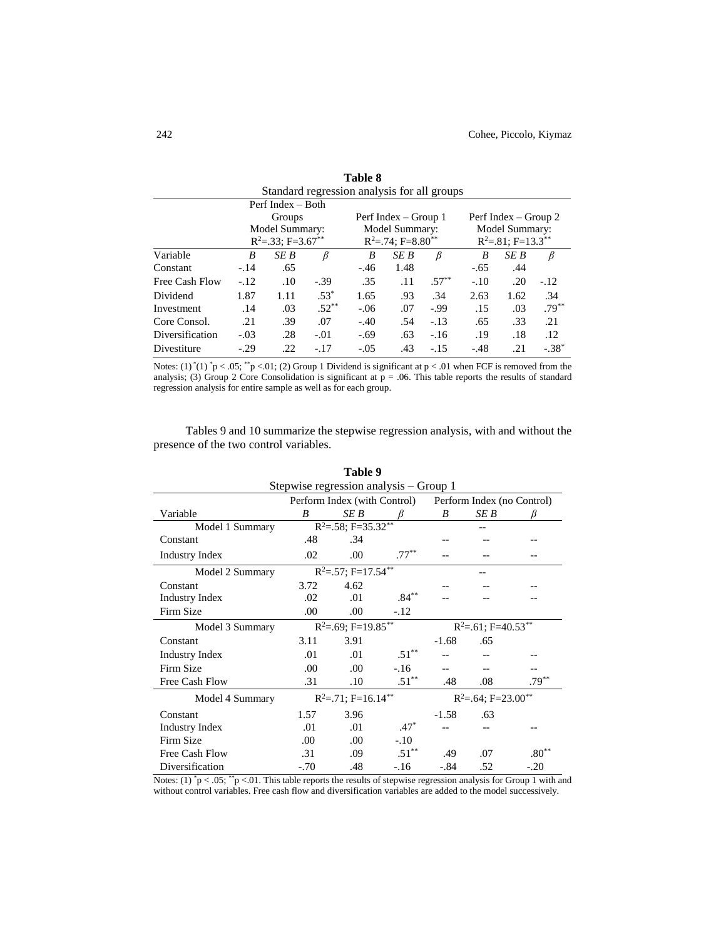| Standard regression analysis for all groups |        |                                   |          |        |                                     |          |        |                                    |          |  |
|---------------------------------------------|--------|-----------------------------------|----------|--------|-------------------------------------|----------|--------|------------------------------------|----------|--|
| Perf Index $-$ Both                         |        |                                   |          |        |                                     |          |        |                                    |          |  |
|                                             |        | Groups                            |          |        | Perf Index – Group 1                |          |        | Perf Index – Group 2               |          |  |
|                                             |        | Model Summary:                    |          |        | Model Summary:                      |          |        | Model Summary:                     |          |  |
|                                             |        | $R^2 = 33$ ; F=3.67 <sup>**</sup> |          |        | $R^2 = 0.74$ ; F=8.80 <sup>**</sup> |          |        | $R^2 = .81$ ; F=13.3 <sup>**</sup> |          |  |
| Variable                                    | B      | SE B                              | B        | B      | SE B                                | B        | B      | SE B                               | B        |  |
| Constant                                    | $-.14$ | .65                               |          | $-.46$ | 1.48                                |          | $-.65$ | .44                                |          |  |
| Free Cash Flow                              | $-.12$ | .10                               | $-.39$   | .35    | .11                                 | $.57***$ | $-.10$ | .20                                | $-.12$   |  |
| Dividend                                    | 1.87   | 1.11                              | $.53*$   | 1.65   | .93                                 | .34      | 2.63   | 1.62                               | .34      |  |
| Investment                                  | .14    | .03                               | $.52***$ | $-.06$ | .07                                 | $-0.99$  | .15    | .03                                | $.79***$ |  |
| Core Consol.                                | .21    | .39                               | .07      | $-.40$ | .54                                 | $-.13$   | .65    | .33                                | .21      |  |
| Diversification                             | $-.03$ | .28                               | $-.01$   | $-.69$ | .63                                 | $-.16$   | .19    | .18                                | .12      |  |
| Divestiture                                 | $-.29$ | .22                               | $-.17$   | $-.05$ | .43                                 | $-.15$   | $-.48$ | .21                                | $-.38*$  |  |

| Table 8                              |  |
|--------------------------------------|--|
| rd regression analysis for all group |  |

Notes:  $(1)^*(1)^*p < .05;$  \*\*p <.01; (2) Group 1 Dividend is significant at  $p < .01$  when FCF is removed from the analysis; (3) Group 2 Core Consolidation is significant at  $p = 0.06$ . This table reports the results of standard regression analysis for entire sample as well as for each group.

Tables 9 and 10 summarize the stepwise regression analysis, with and without the presence of the two control variables.

| 1 adie 9                               |        |                              |                  |                                     |                                     |                  |  |  |  |
|----------------------------------------|--------|------------------------------|------------------|-------------------------------------|-------------------------------------|------------------|--|--|--|
| Stepwise regression analysis – Group 1 |        |                              |                  |                                     |                                     |                  |  |  |  |
|                                        |        | Perform Index (with Control) |                  | Perform Index (no Control)          |                                     |                  |  |  |  |
| Variable                               | B      | SE B                         |                  | B                                   | SE B                                | ß                |  |  |  |
| Model 1 Summary                        |        | $R^2 = .58$ ; F=35.32**      |                  |                                     |                                     |                  |  |  |  |
| Constant                               | .48    | .34                          |                  |                                     |                                     |                  |  |  |  |
| <b>Industry Index</b>                  | .02    | .00                          | $.77***$         |                                     |                                     |                  |  |  |  |
| Model 2 Summary                        |        | $R^2 = 57$ ; F=17.54**       |                  |                                     |                                     |                  |  |  |  |
| Constant                               | 3.72   | 4.62                         |                  |                                     |                                     |                  |  |  |  |
| <b>Industry Index</b>                  | .02.   | .01                          | $.84***$         |                                     |                                     |                  |  |  |  |
| Firm Size                              | .00    | .00.                         | $-.12$           |                                     |                                     |                  |  |  |  |
| Model 3 Summary                        |        | $R^2 = .69; F = 19.85***$    |                  | $R^2 = .61$ ; F=40.53 <sup>**</sup> |                                     |                  |  |  |  |
| Constant                               | 3.11   | 3.91                         |                  | $-1.68$                             | .65                                 |                  |  |  |  |
| <b>Industry Index</b>                  | .01    | .01                          | $.51^{\ast\ast}$ |                                     |                                     |                  |  |  |  |
| Firm Size                              | .00.   | .00.                         | $-.16$           | $-$                                 |                                     |                  |  |  |  |
| Free Cash Flow                         | .31    | .10                          | $.51***$         | .48                                 | .08                                 | $.79***$         |  |  |  |
| Model 4 Summary                        |        | $R^2 = 71$ ; F=16.14**       |                  |                                     | $R^2 = .64$ ; F=23.00 <sup>**</sup> |                  |  |  |  |
| Constant                               | 1.57   | 3.96                         |                  | $-1.58$                             | .63                                 |                  |  |  |  |
| <b>Industry Index</b>                  | .01    | .01                          | $.47*$           |                                     |                                     |                  |  |  |  |
| Firm Size                              | .00    | .00                          | $-.10$           |                                     |                                     |                  |  |  |  |
| Free Cash Flow                         | .31    | .09                          | $.51***$         | .49                                 | .07                                 | $.80^{\ast\ast}$ |  |  |  |
| Diversification                        | $-.70$ | .48                          | $-.16$           | $-.84$                              | .52                                 | $-.20$           |  |  |  |

**Table 9**

Notes: (1)  $\degree$  p < .05;  $\degree$  p <.01. This table reports the results of stepwise regression analysis for Group 1 with and without control variables. Free cash flow and diversification variables are added to the model successively.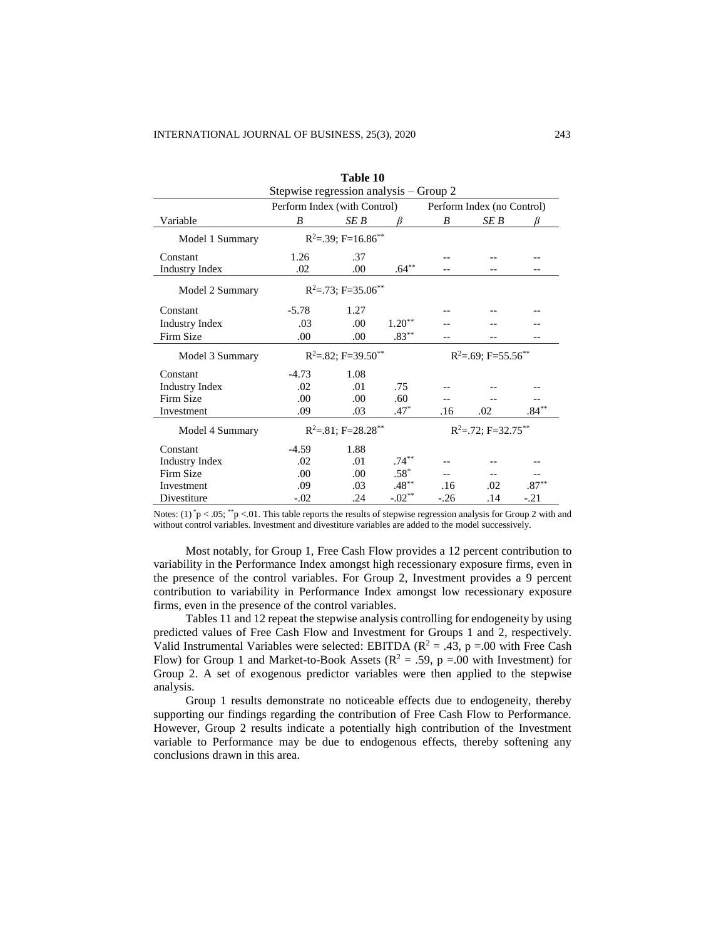| Table 10                               |                                      |                                      |          |                         |                             |                  |  |
|----------------------------------------|--------------------------------------|--------------------------------------|----------|-------------------------|-----------------------------|------------------|--|
| Stepwise regression analysis - Group 2 |                                      |                                      |          |                         |                             |                  |  |
|                                        | Perform Index (with Control)         |                                      |          |                         | Perform Index (no Control)  |                  |  |
| Variable                               | B                                    | SE B                                 | R        | B                       | SE B                        | ß                |  |
| Model 1 Summary                        |                                      | $R^2 = 0.39$ ; F=16.86 <sup>**</sup> |          |                         |                             |                  |  |
| Constant                               | 1.26                                 | .37                                  |          |                         |                             |                  |  |
| <b>Industry Index</b>                  | .02                                  | .00                                  | $.64***$ |                         |                             |                  |  |
| Model 2 Summary                        |                                      | $R^2 = .73$ ; F=35.06**              |          |                         |                             |                  |  |
| Constant                               | $-5.78$                              | 1.27                                 |          |                         |                             |                  |  |
| <b>Industry Index</b>                  | .03                                  | .00 <sub>1</sub>                     | $1.20**$ |                         |                             |                  |  |
| Firm Size                              | .00                                  | .00                                  | $.83***$ |                         |                             |                  |  |
| Model 3 Summary                        | $R^2 = 0.82$ ; F=39.50 <sup>**</sup> |                                      |          |                         | $R^2 = .69; F = 55.56^{**}$ |                  |  |
| Constant                               | $-4.73$                              | 1.08                                 |          |                         |                             |                  |  |
| <b>Industry Index</b>                  | .02                                  | .01                                  | .75      |                         |                             |                  |  |
| Firm Size                              | .00                                  | .00                                  | .60      |                         |                             |                  |  |
| Investment                             | .09                                  | .03                                  | $.47*$   | .16                     | .02                         | $.84^{\ast\ast}$ |  |
| Model 4 Summary                        | $R^2 = 81$ ; F=28.28 <sup>**</sup>   |                                      |          | $R^2 = .72$ ; F=32.75** |                             |                  |  |
| Constant                               | $-4.59$                              | 1.88                                 |          |                         |                             |                  |  |
| <b>Industry Index</b>                  | .02                                  | .01                                  | $.74***$ |                         |                             |                  |  |
| Firm Size                              | .00.                                 | .00                                  | $.58*$   |                         |                             |                  |  |
| Investment                             | .09                                  | .03                                  | $.48***$ | .16                     | .02                         | $.87^{\ast\ast}$ |  |
| Divestiture                            | $-.02$                               | .24                                  | $-.02**$ | $-26$                   | .14                         | $-.21$           |  |

Notes:  $(1)^*p < .05;$  \*\*p <.01. This table reports the results of stepwise regression analysis for Group 2 with and without control variables. Investment and divestiture variables are added to the model successively.

Most notably, for Group 1, Free Cash Flow provides a 12 percent contribution to variability in the Performance Index amongst high recessionary exposure firms, even in the presence of the control variables. For Group 2, Investment provides a 9 percent contribution to variability in Performance Index amongst low recessionary exposure firms, even in the presence of the control variables.

Tables 11 and 12 repeat the stepwise analysis controlling for endogeneity by using predicted values of Free Cash Flow and Investment for Groups 1 and 2, respectively. Valid Instrumental Variables were selected: EBITDA ( $\mathbb{R}^2 = .43$ ,  $p = .00$  with Free Cash Flow) for Group 1 and Market-to-Book Assets ( $R^2 = .59$ ,  $p = .00$  with Investment) for Group 2. A set of exogenous predictor variables were then applied to the stepwise analysis.

Group 1 results demonstrate no noticeable effects due to endogeneity, thereby supporting our findings regarding the contribution of Free Cash Flow to Performance. However, Group 2 results indicate a potentially high contribution of the Investment variable to Performance may be due to endogenous effects, thereby softening any conclusions drawn in this area.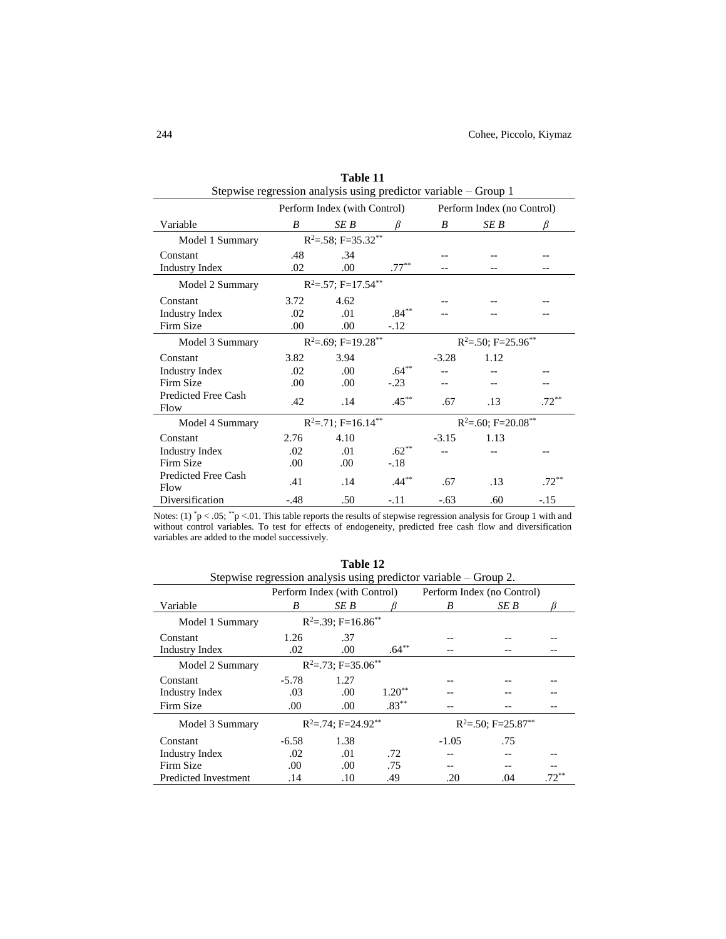| Stepwise regression analysis using predictor variable – Group 1 |                              |                           |          |                           |                            |          |  |
|-----------------------------------------------------------------|------------------------------|---------------------------|----------|---------------------------|----------------------------|----------|--|
|                                                                 | Perform Index (with Control) |                           |          |                           | Perform Index (no Control) |          |  |
| Variable                                                        | R                            | SE B                      |          | B                         | SE B                       |          |  |
| Model 1 Summary                                                 |                              | $R^2 = .58$ ; F=35.32**   |          |                           |                            |          |  |
| Constant                                                        | .48                          | .34                       |          |                           |                            |          |  |
| <b>Industry Index</b>                                           | .02                          | .00                       | $.77***$ |                           |                            |          |  |
| Model 2 Summary                                                 |                              | $R^2 = 57$ ; F=17.54**    |          |                           |                            |          |  |
| Constant                                                        | 3.72                         | 4.62                      |          |                           |                            |          |  |
| <b>Industry Index</b>                                           | .02                          | .01                       | $.84***$ |                           |                            |          |  |
| Firm Size                                                       | .00.                         | .00.                      | $-.12$   |                           |                            |          |  |
| Model 3 Summary                                                 |                              | $R^2 = .69; F = 19.28***$ |          | $R^2 = 50$ ; F=25.96**    |                            |          |  |
| Constant                                                        | 3.82                         | 3.94                      |          | $-3.28$                   | 1.12                       |          |  |
| <b>Industry Index</b>                                           | .02                          | .00                       | $.64***$ |                           |                            |          |  |
| Firm Size                                                       | .00                          | .00                       | $-.23$   |                           |                            |          |  |
| <b>Predicted Free Cash</b><br>Flow                              | .42                          | .14                       | $.45***$ | .67                       | .13                        | $.72***$ |  |
| Model 4 Summary                                                 |                              | $R^2 = .71$ ; F=16.14**   |          | $R^2 = .60; F = 20.08***$ |                            |          |  |
| Constant                                                        | 2.76                         | 4.10                      |          | $-3.15$                   | 1.13                       |          |  |
| <b>Industry Index</b>                                           | .02                          | .01                       | $.62**$  |                           |                            |          |  |
| Firm Size                                                       | .00.                         | .00.                      | $-.18$   |                           |                            |          |  |
| <b>Predicted Free Cash</b><br>Flow                              | .41                          | .14                       | $.44***$ | .67                       | .13                        | $.72***$ |  |
| Diversification                                                 | $-.48$                       | .50                       | $-.11$   | $-.63$                    | .60                        | $-.15$   |  |

**Table 11**

Notes:  $(1)^*p < .05;$  \*\*p <.01. This table reports the results of stepwise regression analysis for Group 1 with and without control variables. To test for effects of endogeneity, predicted free cash flow and diversification variables are added to the model successively.

| Table 12                                                         |         |                                                            |          |                                    |      |  |  |  |
|------------------------------------------------------------------|---------|------------------------------------------------------------|----------|------------------------------------|------|--|--|--|
| Stepwise regression analysis using predictor variable – Group 2. |         |                                                            |          |                                    |      |  |  |  |
|                                                                  |         | Perform Index (with Control)<br>Perform Index (no Control) |          |                                    |      |  |  |  |
| Variable                                                         | B       | SE B                                                       |          | B                                  | SE B |  |  |  |
| Model 1 Summary                                                  |         | $R^2 = 39$ ; F=16.86 <sup>**</sup>                         |          |                                    |      |  |  |  |
| Constant                                                         | 1.26    | .37                                                        |          |                                    |      |  |  |  |
| <b>Industry Index</b>                                            | .02     | .00                                                        | $.64***$ |                                    |      |  |  |  |
| Model 2 Summary                                                  |         | $R^2 = .73$ ; F=35.06 <sup>**</sup>                        |          |                                    |      |  |  |  |
| Constant                                                         | $-5.78$ | 1.27                                                       |          |                                    |      |  |  |  |
| Industry Index                                                   | .03     | .00                                                        | $1.20**$ |                                    |      |  |  |  |
| Firm Size                                                        | .00     | .00                                                        | $.83***$ |                                    |      |  |  |  |
| Model 3 Summary                                                  |         | $R^2 = 74$ ; F=24.92 <sup>**</sup>                         |          | $R^2 = 50$ ; F=25.87 <sup>**</sup> |      |  |  |  |
| Constant                                                         | $-6.58$ | 1.38                                                       |          | $-1.05$                            | .75  |  |  |  |
| Industry Index                                                   | .02     | .01                                                        | .72      |                                    |      |  |  |  |
| Firm Size                                                        | .00     | .00.                                                       | .75      |                                    |      |  |  |  |
| <b>Predicted Investment</b>                                      | .14     | .10                                                        | .49      | .20                                | .04  |  |  |  |

**Table 12**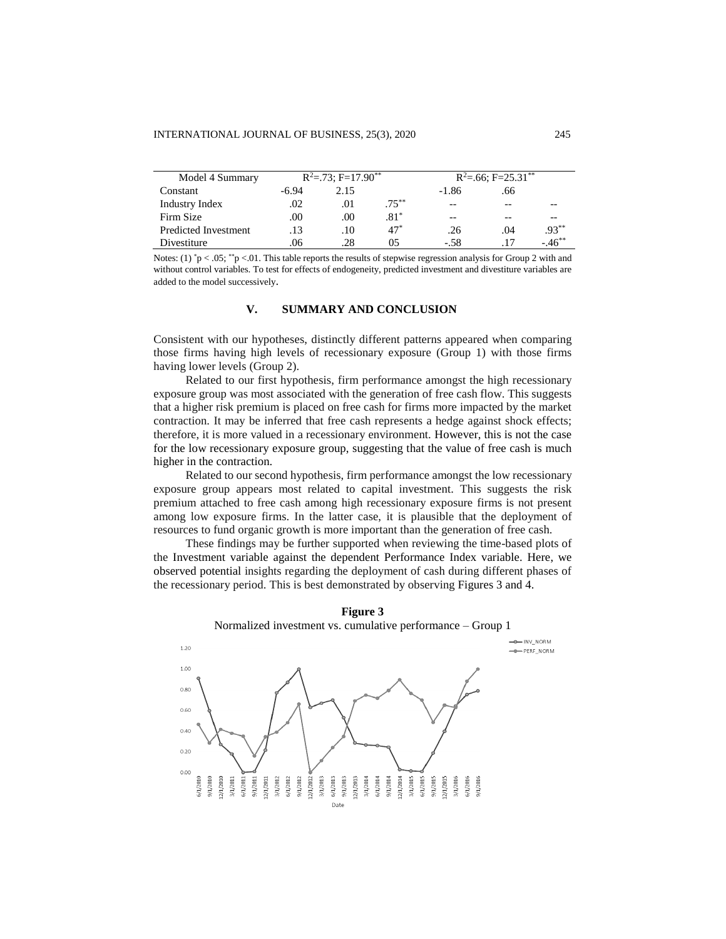| Model 4 Summary      |       | $R^2 = .73$ ; F=17.90 <sup>**</sup> |          |         | $R^2 = 66$ ; F=25.31 <sup>**</sup> |            |
|----------------------|-------|-------------------------------------|----------|---------|------------------------------------|------------|
| Constant             | -6.94 | 2.15                                |          | $-1.86$ | .66                                |            |
| Industry Index       | .02   | .01                                 | $.75***$ | $- -$   | $- -$                              |            |
| Firm Size            | .00   | .00                                 | $.81^*$  | $- -$   |                                    |            |
| Predicted Investment | .13   | .10                                 | $47*$    | .26     | .04                                | $.93***$   |
| Divestiture          | .06   | .28                                 | 05       | $-.58$  |                                    | $-46^{**}$ |

Notes: (1) \*p < .05; \*\*p <.01. This table reports the results of stepwise regression analysis for Group 2 with and without control variables. To test for effects of endogeneity, predicted investment and divestiture variables are added to the model successively.

#### **V. SUMMARY AND CONCLUSION**

Consistent with our hypotheses, distinctly different patterns appeared when comparing those firms having high levels of recessionary exposure (Group 1) with those firms having lower levels (Group 2).

Related to our first hypothesis, firm performance amongst the high recessionary exposure group was most associated with the generation of free cash flow. This suggests that a higher risk premium is placed on free cash for firms more impacted by the market contraction. It may be inferred that free cash represents a hedge against shock effects; therefore, it is more valued in a recessionary environment. However, this is not the case for the low recessionary exposure group, suggesting that the value of free cash is much higher in the contraction.

Related to our second hypothesis, firm performance amongst the low recessionary exposure group appears most related to capital investment. This suggests the risk premium attached to free cash among high recessionary exposure firms is not present among low exposure firms. In the latter case, it is plausible that the deployment of resources to fund organic growth is more important than the generation of free cash.

These findings may be further supported when reviewing the time-based plots of the Investment variable against the dependent Performance Index variable. Here, we observed potential insights regarding the deployment of cash during different phases of the recessionary period. This is best demonstrated by observing Figures 3 and 4.



**Figure 3** Normalized investment vs. cumulative performance – Group 1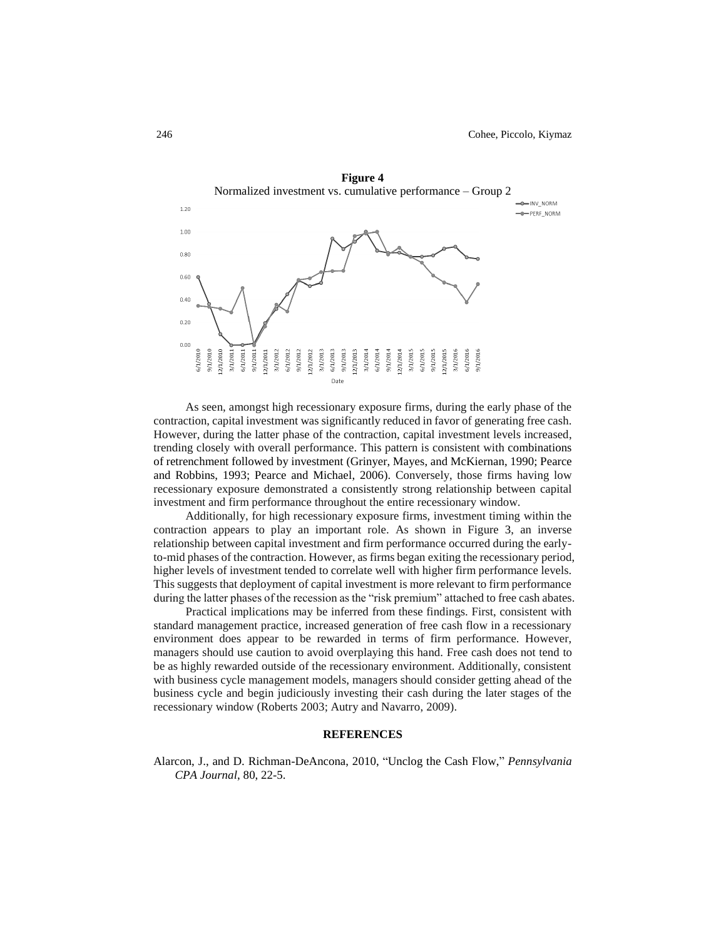

As seen, amongst high recessionary exposure firms, during the early phase of the contraction, capital investment was significantly reduced in favor of generating free cash. However, during the latter phase of the contraction, capital investment levels increased, trending closely with overall performance. This pattern is consistent with combinations of retrenchment followed by investment (Grinyer, Mayes, and McKiernan, 1990; Pearce and Robbins, 1993; Pearce and Michael, 2006). Conversely, those firms having low recessionary exposure demonstrated a consistently strong relationship between capital investment and firm performance throughout the entire recessionary window.

Additionally, for high recessionary exposure firms, investment timing within the contraction appears to play an important role. As shown in Figure 3, an inverse relationship between capital investment and firm performance occurred during the earlyto-mid phases of the contraction. However, as firms began exiting the recessionary period, higher levels of investment tended to correlate well with higher firm performance levels. This suggests that deployment of capital investment is more relevant to firm performance during the latter phases of the recession as the "risk premium" attached to free cash abates.

Practical implications may be inferred from these findings. First, consistent with standard management practice, increased generation of free cash flow in a recessionary environment does appear to be rewarded in terms of firm performance. However, managers should use caution to avoid overplaying this hand. Free cash does not tend to be as highly rewarded outside of the recessionary environment. Additionally, consistent with business cycle management models, managers should consider getting ahead of the business cycle and begin judiciously investing their cash during the later stages of the recessionary window (Roberts 2003; Autry and Navarro, 2009).

#### **REFERENCES**

Alarcon, J., and D. Richman-DeAncona, 2010, "Unclog the Cash Flow," *Pennsylvania CPA Journal*, 80, 22-5.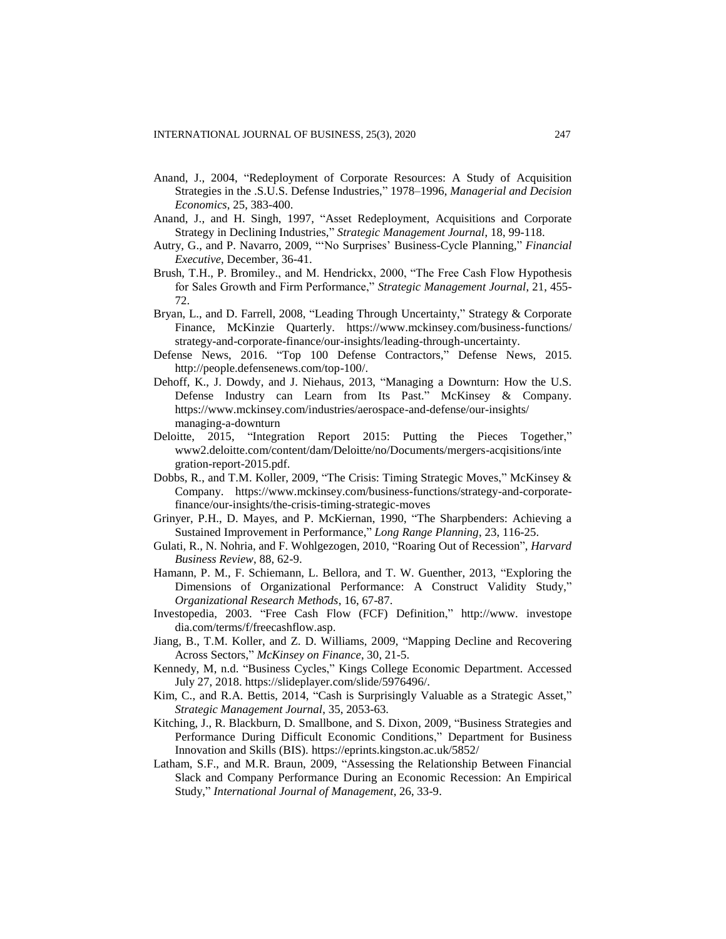- Anand, J., 2004, "Redeployment of Corporate Resources: A Study of Acquisition Strategies in the .S.U.S. Defense Industries," 1978–1996, *Managerial and Decision Economics*, 25, 383-400.
- Anand, J., and H. Singh, 1997, "Asset Redeployment, Acquisitions and Corporate Strategy in Declining Industries," *Strategic Management Journal*, 18, 99-118.
- Autry, G., and P. Navarro, 2009, "'No Surprises' Business-Cycle Planning," *Financial Executive*, December, 36-41.
- Brush, T.H., P. Bromiley., and M. Hendrickx, 2000, "The Free Cash Flow Hypothesis for Sales Growth and Firm Performance," *Strategic Management Journal*, 21, 455- 72.
- Bryan, L., and D. Farrell, 2008, "Leading Through Uncertainty," Strategy & Corporate Finance, McKinzie Quarterly. [https://www.mckinsey.com/business-functions/](https://www.mckinsey.com/business-functions/strategy-and-corporate-finance/our-insights/leading-through-uncertainty) [strategy-and-corporate-finance/our-insights/leading-through-uncertainty.](https://www.mckinsey.com/business-functions/strategy-and-corporate-finance/our-insights/leading-through-uncertainty)
- Defense News, 2016. "Top 100 Defense Contractors," Defense News, 2015. [http://people.defensenews.com/top-100/.](http://people.defensenews.com/top-100/)
- Dehoff, K., J. Dowdy, and J. Niehaus, 2013, "Managing a Downturn: How the U.S. Defense Industry can Learn from Its Past." McKinsey & Company. [https://www.mckinsey.com/industries/aerospace-and-defense/our-insights/](https://www.mckinsey.com/industries/aerospace-and-defense/our-insights/%20managing-a-downturn)  [managing-a-downturn](https://www.mckinsey.com/industries/aerospace-and-defense/our-insights/%20managing-a-downturn)
- Deloitte, 2015, "Integration Report 2015: Putting the Pieces Together," www2.deloitte.com/content/dam/Deloitte/no/Documents/mergers-acqisitions/inte gration-report-2015.pdf.
- Dobbs, R., and T.M. Koller, 2009, "The Crisis: Timing Strategic Moves," McKinsey & Company. https://www.mckinsey.com/business-functions/strategy-and-corporatefinance/our-insights/the-crisis-timing-strategic-moves
- Grinyer, P.H., D. Mayes, and P. McKiernan, 1990, "The Sharpbenders: Achieving a Sustained Improvement in Performance," *Long Range Planning*, 23, 116-25.
- Gulati, R., N. Nohria, and F. Wohlgezogen, 2010, "Roaring Out of Recession", *Harvard Business Review*, 88, 62-9.
- Hamann, P. M., F. Schiemann, L. Bellora, and T. W. Guenther, 2013, "Exploring the Dimensions of Organizational Performance: A Construct Validity Study," *Organizational Research Methods*, 16, 67-87.
- Investopedia, 2003. "Free Cash Flow (FCF) Definition," http://www. investope dia.com/terms/f/freecashflow.asp.
- Jiang, B., T.M. Koller, and Z. D. Williams, 2009, "Mapping Decline and Recovering Across Sectors," *McKinsey on Finance*, 30, 21-5.
- Kennedy, M, n.d. "Business Cycles," Kings College Economic Department. Accessed July 27, 2018. https://slideplayer.com/slide/5976496/.
- Kim, C., and R.A. Bettis, 2014, "Cash is Surprisingly Valuable as a Strategic Asset," *Strategic Management Journal*, 35, 2053-63.
- Kitching, J., R. Blackburn, D. Smallbone, and S. Dixon, 2009, "Business Strategies and Performance During Difficult Economic Conditions," Department for Business Innovation and Skills (BIS). https://eprints.kingston.ac.uk/5852/
- Latham, S.F., and M.R. Braun, 2009, "Assessing the Relationship Between Financial Slack and Company Performance During an Economic Recession: An Empirical Study," *International Journal of Management*, 26, 33-9.